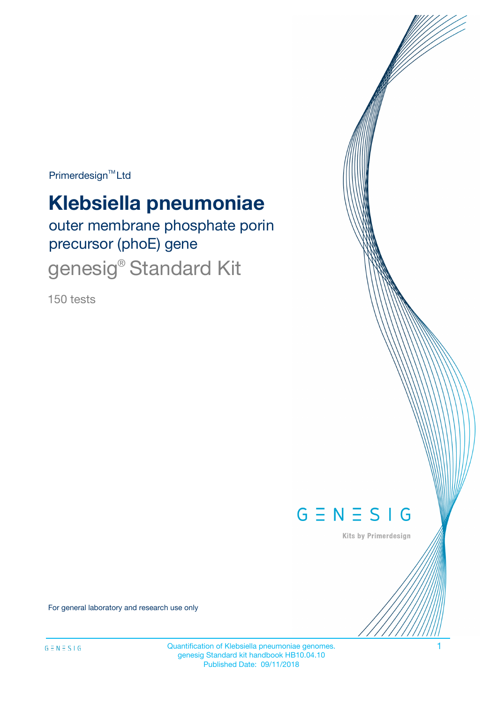Primerdesign<sup>™</sup>Ltd

# **Klebsiella pneumoniae**

outer membrane phosphate porin precursor (phoE) gene genesig® Standard Kit

150 tests



Kits by Primerdesign

For general laboratory and research use only

Quantification of Klebsiella pneumoniae genomes. 1 genesig Standard kit handbook HB10.04.10 Published Date: 09/11/2018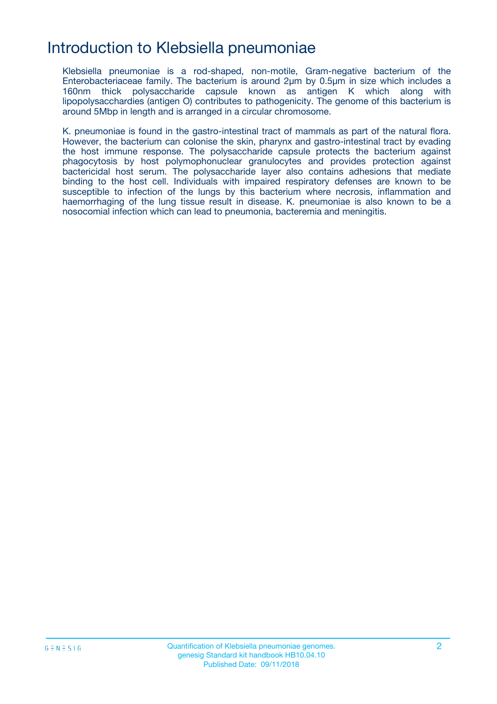### Introduction to Klebsiella pneumoniae

Klebsiella pneumoniae is a rod-shaped, non-motile, Gram-negative bacterium of the Enterobacteriaceae family. The bacterium is around 2µm by 0.5µm in size which includes a 160nm thick polysaccharide capsule known as antigen K which along with lipopolysacchardies (antigen O) contributes to pathogenicity. The genome of this bacterium is around 5Mbp in length and is arranged in a circular chromosome.

K. pneumoniae is found in the gastro-intestinal tract of mammals as part of the natural flora. However, the bacterium can colonise the skin, pharynx and gastro-intestinal tract by evading the host immune response. The polysaccharide capsule protects the bacterium against phagocytosis by host polymophonuclear granulocytes and provides protection against bactericidal host serum. The polysaccharide layer also contains adhesions that mediate binding to the host cell. Individuals with impaired respiratory defenses are known to be susceptible to infection of the lungs by this bacterium where necrosis, inflammation and haemorrhaging of the lung tissue result in disease. K. pneumoniae is also known to be a nosocomial infection which can lead to pneumonia, bacteremia and meningitis.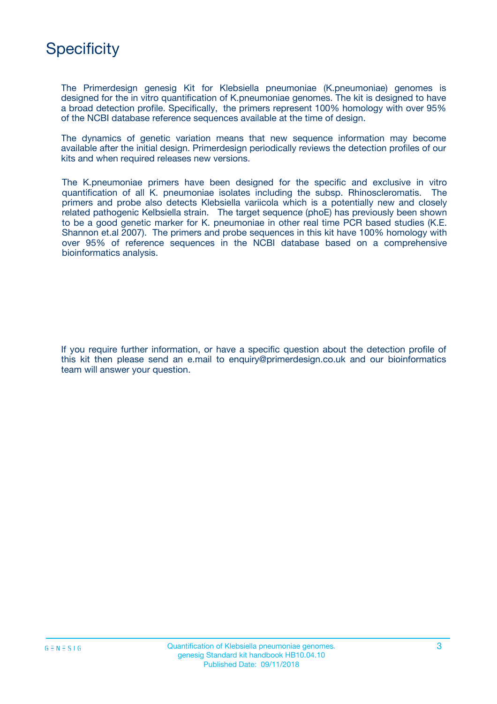

The Primerdesign genesig Kit for Klebsiella pneumoniae (K.pneumoniae) genomes is designed for the in vitro quantification of K.pneumoniae genomes. The kit is designed to have a broad detection profile. Specifically, the primers represent 100% homology with over 95% of the NCBI database reference sequences available at the time of design.

The dynamics of genetic variation means that new sequence information may become available after the initial design. Primerdesign periodically reviews the detection profiles of our kits and when required releases new versions.

The K.pneumoniae primers have been designed for the specific and exclusive in vitro quantification of all K. pneumoniae isolates including the subsp. Rhinoscleromatis. The primers and probe also detects Klebsiella variicola which is a potentially new and closely related pathogenic Kelbsiella strain. The target sequence (phoE) has previously been shown to be a good genetic marker for K. pneumoniae in other real time PCR based studies (K.E. Shannon et.al 2007). The primers and probe sequences in this kit have 100% homology with over 95% of reference sequences in the NCBI database based on a comprehensive bioinformatics analysis.

If you require further information, or have a specific question about the detection profile of this kit then please send an e.mail to enquiry@primerdesign.co.uk and our bioinformatics team will answer your question.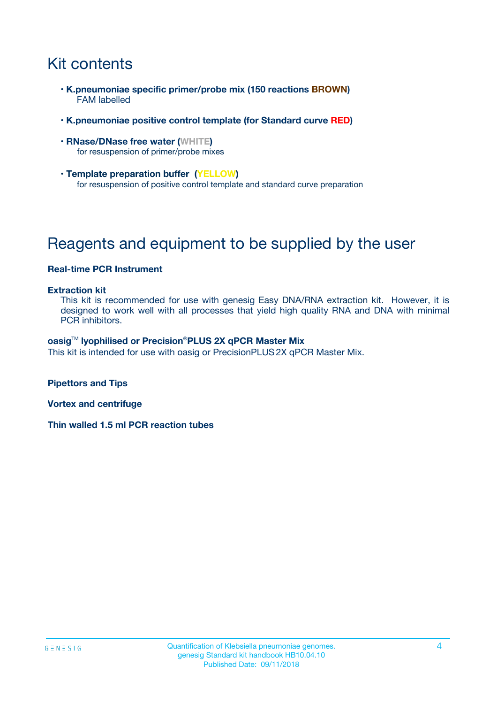# Kit contents

- **K.pneumoniae specific primer/probe mix (150 reactions BROWN)** FAM labelled
- **K.pneumoniae positive control template (for Standard curve RED)**
- **RNase/DNase free water (WHITE)** for resuspension of primer/probe mixes
- **Template preparation buffer (YELLOW)** for resuspension of positive control template and standard curve preparation

# Reagents and equipment to be supplied by the user

#### **Real-time PCR Instrument**

#### **Extraction kit**

This kit is recommended for use with genesig Easy DNA/RNA extraction kit. However, it is designed to work well with all processes that yield high quality RNA and DNA with minimal PCR inhibitors.

#### **oasig**TM **lyophilised or Precision**®**PLUS 2X qPCR Master Mix**

This kit is intended for use with oasig or PrecisionPLUS2X qPCR Master Mix.

**Pipettors and Tips**

**Vortex and centrifuge**

**Thin walled 1.5 ml PCR reaction tubes**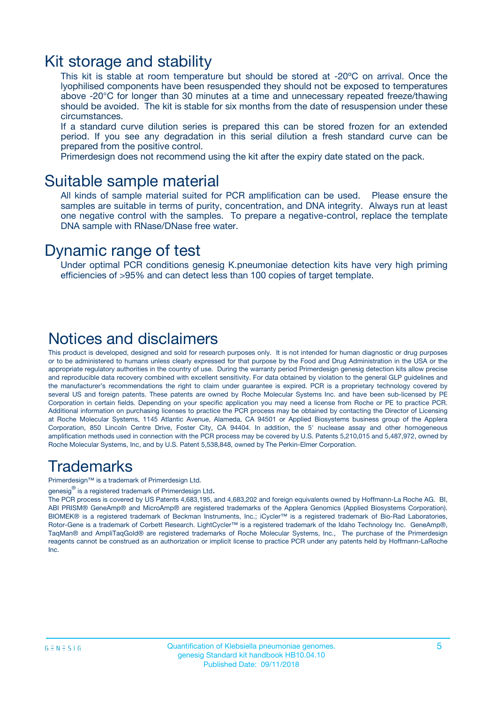### Kit storage and stability

This kit is stable at room temperature but should be stored at -20ºC on arrival. Once the lyophilised components have been resuspended they should not be exposed to temperatures above -20°C for longer than 30 minutes at a time and unnecessary repeated freeze/thawing should be avoided. The kit is stable for six months from the date of resuspension under these circumstances.

If a standard curve dilution series is prepared this can be stored frozen for an extended period. If you see any degradation in this serial dilution a fresh standard curve can be prepared from the positive control.

Primerdesign does not recommend using the kit after the expiry date stated on the pack.

### Suitable sample material

All kinds of sample material suited for PCR amplification can be used. Please ensure the samples are suitable in terms of purity, concentration, and DNA integrity. Always run at least one negative control with the samples. To prepare a negative-control, replace the template DNA sample with RNase/DNase free water.

### Dynamic range of test

Under optimal PCR conditions genesig K.pneumoniae detection kits have very high priming efficiencies of >95% and can detect less than 100 copies of target template.

### Notices and disclaimers

This product is developed, designed and sold for research purposes only. It is not intended for human diagnostic or drug purposes or to be administered to humans unless clearly expressed for that purpose by the Food and Drug Administration in the USA or the appropriate regulatory authorities in the country of use. During the warranty period Primerdesign genesig detection kits allow precise and reproducible data recovery combined with excellent sensitivity. For data obtained by violation to the general GLP guidelines and the manufacturer's recommendations the right to claim under guarantee is expired. PCR is a proprietary technology covered by several US and foreign patents. These patents are owned by Roche Molecular Systems Inc. and have been sub-licensed by PE Corporation in certain fields. Depending on your specific application you may need a license from Roche or PE to practice PCR. Additional information on purchasing licenses to practice the PCR process may be obtained by contacting the Director of Licensing at Roche Molecular Systems, 1145 Atlantic Avenue, Alameda, CA 94501 or Applied Biosystems business group of the Applera Corporation, 850 Lincoln Centre Drive, Foster City, CA 94404. In addition, the 5' nuclease assay and other homogeneous amplification methods used in connection with the PCR process may be covered by U.S. Patents 5,210,015 and 5,487,972, owned by Roche Molecular Systems, Inc, and by U.S. Patent 5,538,848, owned by The Perkin-Elmer Corporation.

### Trademarks

Primerdesign™ is a trademark of Primerdesign Ltd.

genesig $^\circledR$  is a registered trademark of Primerdesign Ltd.

The PCR process is covered by US Patents 4,683,195, and 4,683,202 and foreign equivalents owned by Hoffmann-La Roche AG. BI, ABI PRISM® GeneAmp® and MicroAmp® are registered trademarks of the Applera Genomics (Applied Biosystems Corporation). BIOMEK® is a registered trademark of Beckman Instruments, Inc.; iCycler™ is a registered trademark of Bio-Rad Laboratories, Rotor-Gene is a trademark of Corbett Research. LightCycler™ is a registered trademark of the Idaho Technology Inc. GeneAmp®, TaqMan® and AmpliTaqGold® are registered trademarks of Roche Molecular Systems, Inc., The purchase of the Primerdesign reagents cannot be construed as an authorization or implicit license to practice PCR under any patents held by Hoffmann-LaRoche Inc.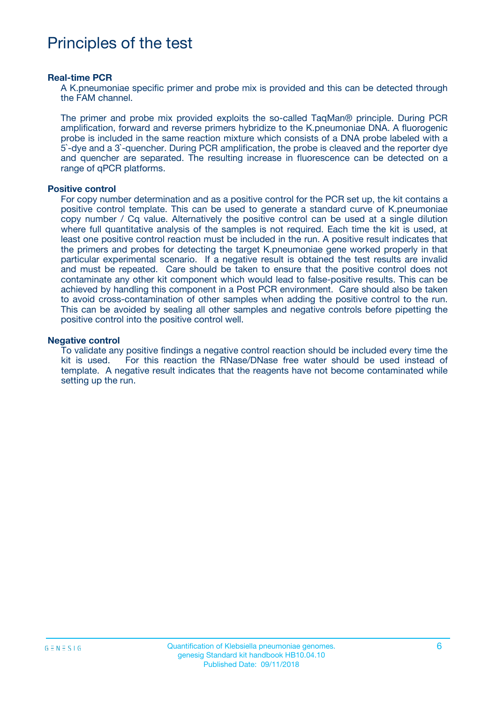# Principles of the test

#### **Real-time PCR**

A K.pneumoniae specific primer and probe mix is provided and this can be detected through the FAM channel.

The primer and probe mix provided exploits the so-called TaqMan® principle. During PCR amplification, forward and reverse primers hybridize to the K.pneumoniae DNA. A fluorogenic probe is included in the same reaction mixture which consists of a DNA probe labeled with a 5`-dye and a 3`-quencher. During PCR amplification, the probe is cleaved and the reporter dye and quencher are separated. The resulting increase in fluorescence can be detected on a range of qPCR platforms.

#### **Positive control**

For copy number determination and as a positive control for the PCR set up, the kit contains a positive control template. This can be used to generate a standard curve of K.pneumoniae copy number / Cq value. Alternatively the positive control can be used at a single dilution where full quantitative analysis of the samples is not required. Each time the kit is used, at least one positive control reaction must be included in the run. A positive result indicates that the primers and probes for detecting the target K.pneumoniae gene worked properly in that particular experimental scenario. If a negative result is obtained the test results are invalid and must be repeated. Care should be taken to ensure that the positive control does not contaminate any other kit component which would lead to false-positive results. This can be achieved by handling this component in a Post PCR environment. Care should also be taken to avoid cross-contamination of other samples when adding the positive control to the run. This can be avoided by sealing all other samples and negative controls before pipetting the positive control into the positive control well.

#### **Negative control**

To validate any positive findings a negative control reaction should be included every time the kit is used. For this reaction the RNase/DNase free water should be used instead of template. A negative result indicates that the reagents have not become contaminated while setting up the run.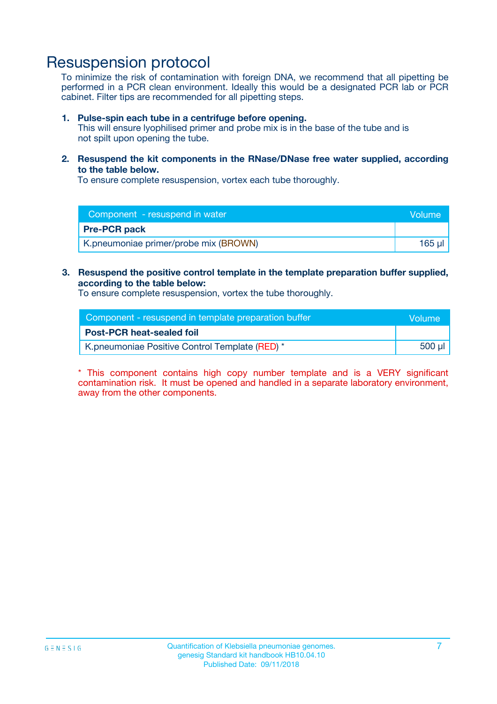## Resuspension protocol

To minimize the risk of contamination with foreign DNA, we recommend that all pipetting be performed in a PCR clean environment. Ideally this would be a designated PCR lab or PCR cabinet. Filter tips are recommended for all pipetting steps.

#### **1. Pulse-spin each tube in a centrifuge before opening.**

This will ensure lyophilised primer and probe mix is in the base of the tube and is not spilt upon opening the tube.

**2. Resuspend the kit components in the RNase/DNase free water supplied, according to the table below.**

To ensure complete resuspension, vortex each tube thoroughly.

| Component - resuspend in water        | <b>Nolume</b> |
|---------------------------------------|---------------|
| <b>Pre-PCR pack</b>                   |               |
| K.pneumoniae primer/probe mix (BROWN) | 165 ul        |

### **3. Resuspend the positive control template in the template preparation buffer supplied, according to the table below:**

To ensure complete resuspension, vortex the tube thoroughly.

| Component - resuspend in template preparation buffer | Wolume!     |
|------------------------------------------------------|-------------|
| <b>Post-PCR heat-sealed foil</b>                     |             |
| K.pneumoniae Positive Control Template (RED) *       | $500$ $\mu$ |

\* This component contains high copy number template and is a VERY significant contamination risk. It must be opened and handled in a separate laboratory environment, away from the other components.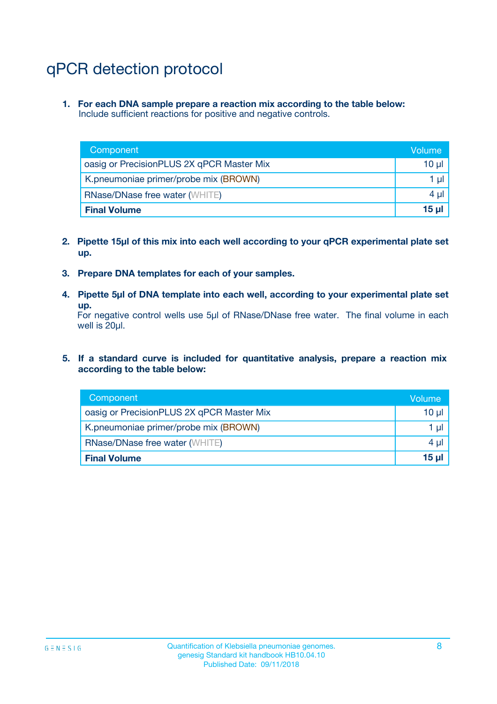# qPCR detection protocol

**1. For each DNA sample prepare a reaction mix according to the table below:** Include sufficient reactions for positive and negative controls.

| Component                                 | Volume   |
|-------------------------------------------|----------|
| oasig or PrecisionPLUS 2X qPCR Master Mix | 10 $\mu$ |
| K.pneumoniae primer/probe mix (BROWN)     | 1 $\mu$  |
| <b>RNase/DNase free water (WHITE)</b>     | $4 \mu$  |
| <b>Final Volume</b>                       | $15 \mu$ |

- **2. Pipette 15µl of this mix into each well according to your qPCR experimental plate set up.**
- **3. Prepare DNA templates for each of your samples.**
- **4. Pipette 5µl of DNA template into each well, according to your experimental plate set up.**

For negative control wells use 5µl of RNase/DNase free water. The final volume in each well is 20µl.

**5. If a standard curve is included for quantitative analysis, prepare a reaction mix according to the table below:**

| Component                                 | Volume     |
|-------------------------------------------|------------|
| oasig or PrecisionPLUS 2X qPCR Master Mix | 10 µl      |
| K.pneumoniae primer/probe mix (BROWN)     | 1 µI       |
| <b>RNase/DNase free water (WHITE)</b>     | $4 \mu$    |
| <b>Final Volume</b>                       | $15$ $\mu$ |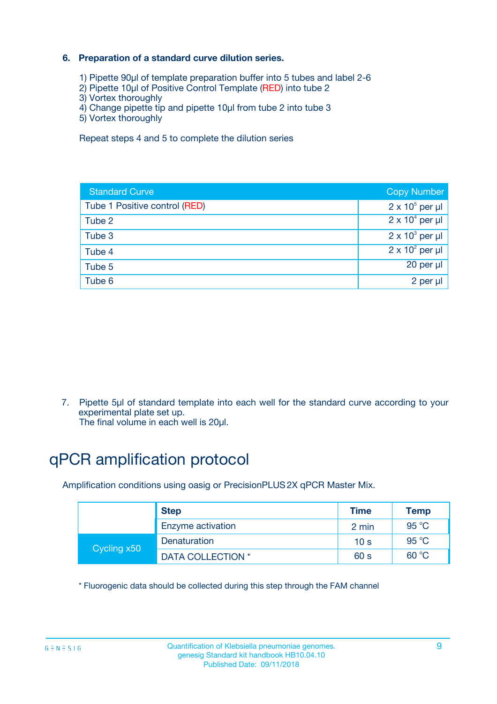### **6. Preparation of a standard curve dilution series.**

- 1) Pipette 90µl of template preparation buffer into 5 tubes and label 2-6
- 2) Pipette 10µl of Positive Control Template (RED) into tube 2
- 3) Vortex thoroughly
- 4) Change pipette tip and pipette 10µl from tube 2 into tube 3
- 5) Vortex thoroughly

Repeat steps 4 and 5 to complete the dilution series

| <b>Standard Curve</b>         | <b>Copy Number</b>     |
|-------------------------------|------------------------|
| Tube 1 Positive control (RED) | $2 \times 10^5$ per µl |
| Tube 2                        | $2 \times 10^4$ per µl |
| Tube 3                        | $2 \times 10^3$ per µl |
| Tube 4                        | $2 \times 10^2$ per µl |
| Tube 5                        | 20 per µl              |
| Tube 6                        | $2$ per $\mu$          |

7. Pipette 5µl of standard template into each well for the standard curve according to your experimental plate set up.

The final volume in each well is 20µl.

# qPCR amplification protocol

Amplification conditions using oasig or PrecisionPLUS2X qPCR Master Mix.

|             | <b>Step</b>       | <b>Time</b>     | Temp           |
|-------------|-------------------|-----------------|----------------|
|             | Enzyme activation | 2 min           | $95^{\circ}$ C |
| Cycling x50 | Denaturation      | 10 <sub>s</sub> | 95 $°C$        |
|             | DATA COLLECTION * | 60 s            | 60 °C          |

\* Fluorogenic data should be collected during this step through the FAM channel